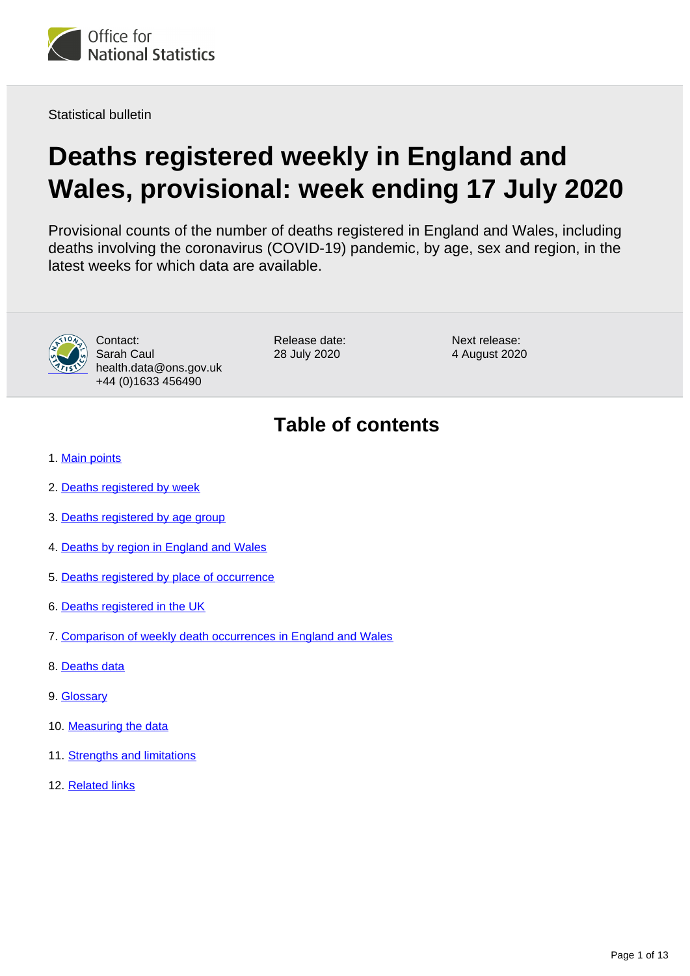<span id="page-0-0"></span>

Statistical bulletin

# **Deaths registered weekly in England and Wales, provisional: week ending 17 July 2020**

Provisional counts of the number of deaths registered in England and Wales, including deaths involving the coronavirus (COVID-19) pandemic, by age, sex and region, in the latest weeks for which data are available.



Contact: Sarah Caul health.data@ons.gov.uk +44 (0)1633 456490

Release date: 28 July 2020

Next release: 4 August 2020

# **Table of contents**

- 1. [Main points](#page-1-0)
- 2. [Deaths registered by week](#page-1-1)
- 3. [Deaths registered by age group](#page-2-0)
- 4. [Deaths by region in England and Wales](#page-3-0)
- 5. [Deaths registered by place of occurrence](#page-5-0)
- 6. [Deaths registered in the UK](#page-7-0)
- 7. [Comparison of weekly death occurrences in England and Wales](#page-8-0)
- 8. [Deaths data](#page-8-1)
- 9. [Glossary](#page-8-2)
- 10. [Measuring the data](#page-9-0)
- 11. [Strengths and limitations](#page-11-0)
- 12. [Related links](#page-12-0)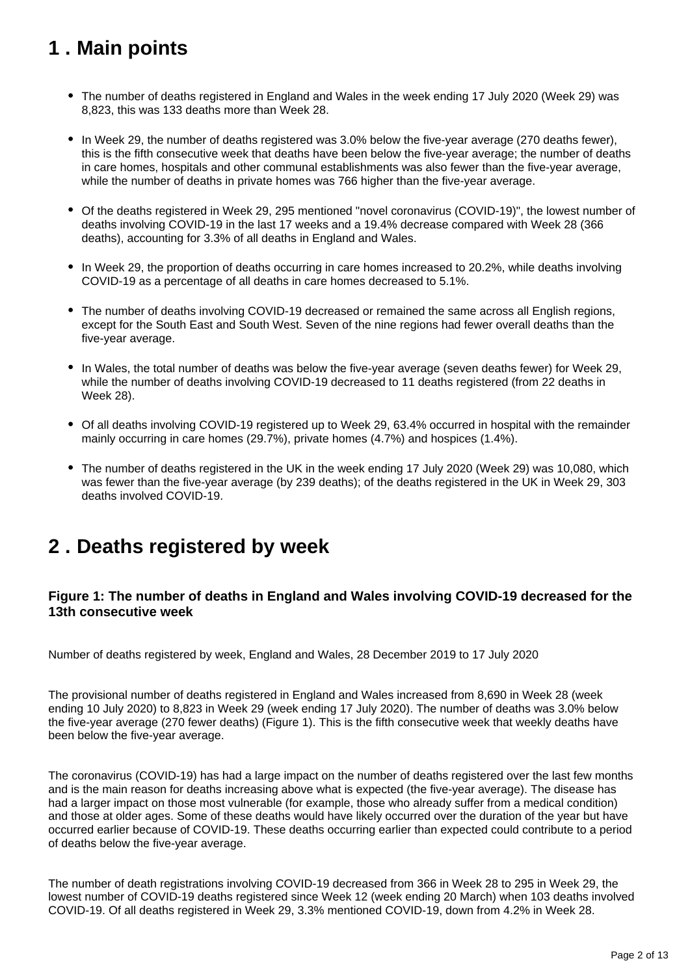# <span id="page-1-0"></span>**1 . Main points**

- The number of deaths registered in England and Wales in the week ending 17 July 2020 (Week 29) was 8,823, this was 133 deaths more than Week 28.
- In Week 29, the number of deaths registered was 3.0% below the five-year average (270 deaths fewer), this is the fifth consecutive week that deaths have been below the five-year average; the number of deaths in care homes, hospitals and other communal establishments was also fewer than the five-year average, while the number of deaths in private homes was 766 higher than the five-year average.
- Of the deaths registered in Week 29, 295 mentioned "novel coronavirus (COVID-19)", the lowest number of deaths involving COVID-19 in the last 17 weeks and a 19.4% decrease compared with Week 28 (366 deaths), accounting for 3.3% of all deaths in England and Wales.
- In Week 29, the proportion of deaths occurring in care homes increased to 20.2%, while deaths involving COVID-19 as a percentage of all deaths in care homes decreased to 5.1%.
- The number of deaths involving COVID-19 decreased or remained the same across all English regions, except for the South East and South West. Seven of the nine regions had fewer overall deaths than the five-year average.
- In Wales, the total number of deaths was below the five-year average (seven deaths fewer) for Week 29, while the number of deaths involving COVID-19 decreased to 11 deaths registered (from 22 deaths in Week 28).
- Of all deaths involving COVID-19 registered up to Week 29, 63.4% occurred in hospital with the remainder mainly occurring in care homes (29.7%), private homes (4.7%) and hospices (1.4%).
- The number of deaths registered in the UK in the week ending 17 July 2020 (Week 29) was 10,080, which was fewer than the five-year average (by 239 deaths); of the deaths registered in the UK in Week 29, 303 deaths involved COVID-19.

# <span id="page-1-1"></span>**2 . Deaths registered by week**

## **Figure 1: The number of deaths in England and Wales involving COVID-19 decreased for the 13th consecutive week**

Number of deaths registered by week, England and Wales, 28 December 2019 to 17 July 2020

The provisional number of deaths registered in England and Wales increased from 8,690 in Week 28 (week ending 10 July 2020) to 8,823 in Week 29 (week ending 17 July 2020). The number of deaths was 3.0% below the five-year average (270 fewer deaths) (Figure 1). This is the fifth consecutive week that weekly deaths have been below the five-year average.

The coronavirus (COVID-19) has had a large impact on the number of deaths registered over the last few months and is the main reason for deaths increasing above what is expected (the five-year average). The disease has had a larger impact on those most vulnerable (for example, those who already suffer from a medical condition) and those at older ages. Some of these deaths would have likely occurred over the duration of the year but have occurred earlier because of COVID-19. These deaths occurring earlier than expected could contribute to a period of deaths below the five-year average.

The number of death registrations involving COVID-19 decreased from 366 in Week 28 to 295 in Week 29, the lowest number of COVID-19 deaths registered since Week 12 (week ending 20 March) when 103 deaths involved COVID-19. Of all deaths registered in Week 29, 3.3% mentioned COVID-19, down from 4.2% in Week 28.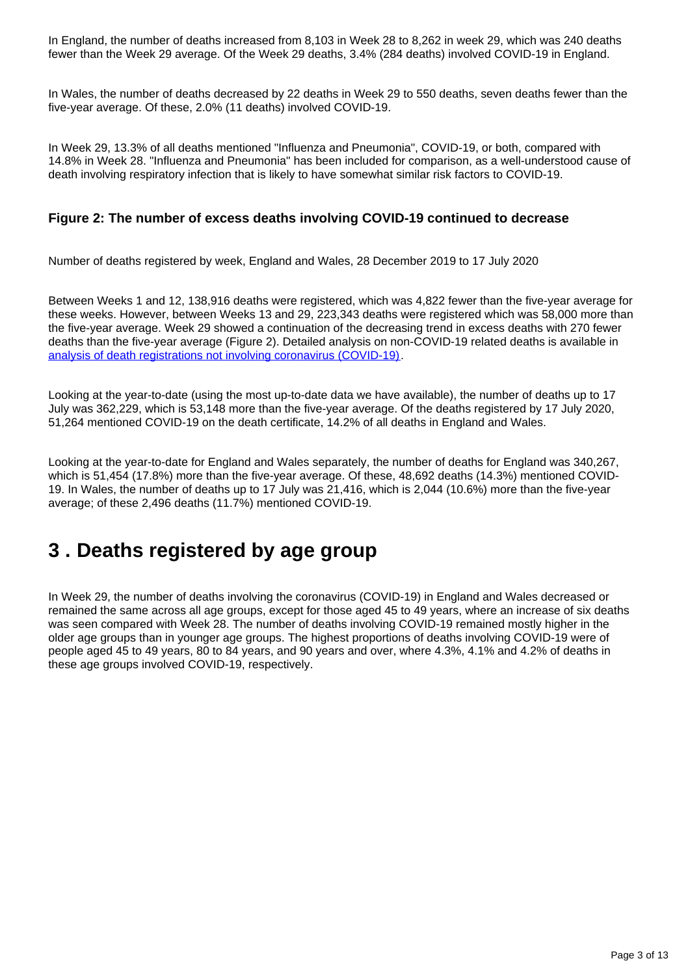In England, the number of deaths increased from 8,103 in Week 28 to 8,262 in week 29, which was 240 deaths fewer than the Week 29 average. Of the Week 29 deaths, 3.4% (284 deaths) involved COVID-19 in England.

In Wales, the number of deaths decreased by 22 deaths in Week 29 to 550 deaths, seven deaths fewer than the five-year average. Of these, 2.0% (11 deaths) involved COVID-19.

In Week 29, 13.3% of all deaths mentioned "Influenza and Pneumonia", COVID-19, or both, compared with 14.8% in Week 28. "Influenza and Pneumonia" has been included for comparison, as a well-understood cause of death involving respiratory infection that is likely to have somewhat similar risk factors to COVID-19.

### **Figure 2: The number of excess deaths involving COVID-19 continued to decrease**

Number of deaths registered by week, England and Wales, 28 December 2019 to 17 July 2020

Between Weeks 1 and 12, 138,916 deaths were registered, which was 4,822 fewer than the five-year average for these weeks. However, between Weeks 13 and 29, 223,343 deaths were registered which was 58,000 more than the five-year average. Week 29 showed a continuation of the decreasing trend in excess deaths with 270 fewer deaths than the five-year average (Figure 2). Detailed analysis on non-COVID-19 related deaths is available in [analysis of death registrations not involving coronavirus \(COVID-19\).](https://www.ons.gov.uk/peoplepopulationandcommunity/birthsdeathsandmarriages/deaths/articles/analysisofdeathregistrationsnotinvolvingcoronaviruscovid19englandandwales28december2019to1may2020/technicalannex)

Looking at the year-to-date (using the most up-to-date data we have available), the number of deaths up to 17 July was 362,229, which is 53,148 more than the five-year average. Of the deaths registered by 17 July 2020, 51,264 mentioned COVID-19 on the death certificate, 14.2% of all deaths in England and Wales.

Looking at the year-to-date for England and Wales separately, the number of deaths for England was 340,267, which is 51,454 (17.8%) more than the five-year average. Of these, 48,692 deaths (14.3%) mentioned COVID-19. In Wales, the number of deaths up to 17 July was 21,416, which is 2,044 (10.6%) more than the five-year average; of these 2,496 deaths (11.7%) mentioned COVID-19.

# <span id="page-2-0"></span>**3 . Deaths registered by age group**

In Week 29, the number of deaths involving the coronavirus (COVID-19) in England and Wales decreased or remained the same across all age groups, except for those aged 45 to 49 years, where an increase of six deaths was seen compared with Week 28. The number of deaths involving COVID-19 remained mostly higher in the older age groups than in younger age groups. The highest proportions of deaths involving COVID-19 were of people aged 45 to 49 years, 80 to 84 years, and 90 years and over, where 4.3%, 4.1% and 4.2% of deaths in these age groups involved COVID-19, respectively.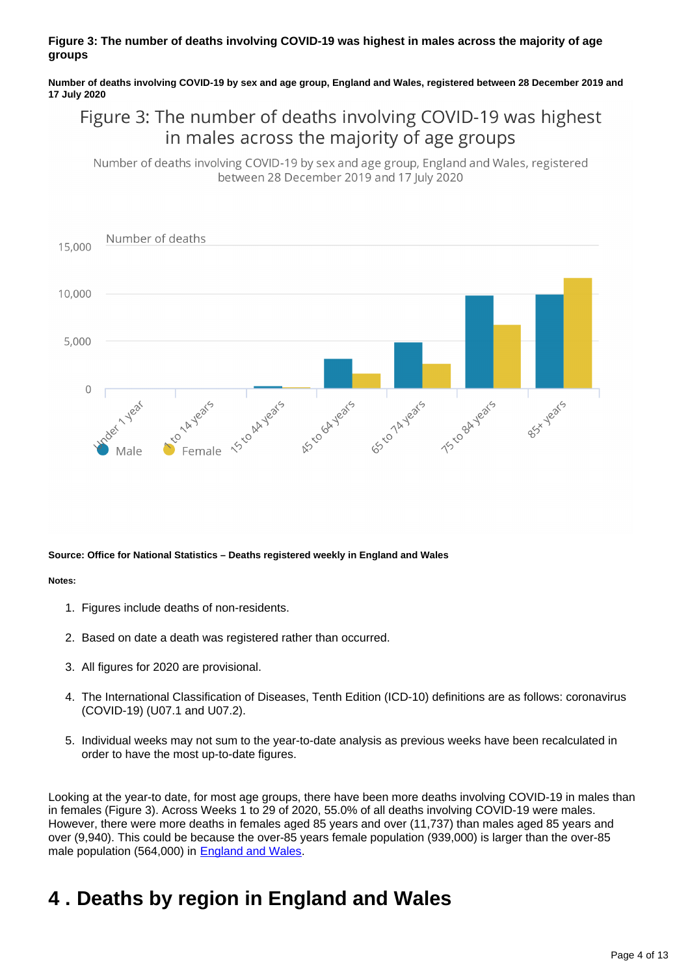### **Figure 3: The number of deaths involving COVID-19 was highest in males across the majority of age groups**

**Number of deaths involving COVID-19 by sex and age group, England and Wales, registered between 28 December 2019 and 17 July 2020**

# Figure 3: The number of deaths involving COVID-19 was highest in males across the majority of age groups

Number of deaths involving COVID-19 by sex and age group, England and Wales, registered between 28 December 2019 and 17 July 2020



#### **Source: Office for National Statistics – Deaths registered weekly in England and Wales**

#### **Notes:**

- 1. Figures include deaths of non-residents.
- 2. Based on date a death was registered rather than occurred.
- 3. All figures for 2020 are provisional.
- 4. The International Classification of Diseases, Tenth Edition (ICD-10) definitions are as follows: coronavirus (COVID-19) (U07.1 and U07.2).
- 5. Individual weeks may not sum to the year-to-date analysis as previous weeks have been recalculated in order to have the most up-to-date figures.

Looking at the year-to date, for most age groups, there have been more deaths involving COVID-19 in males than in females (Figure 3). Across Weeks 1 to 29 of 2020, 55.0% of all deaths involving COVID-19 were males. However, there were more deaths in females aged 85 years and over (11,737) than males aged 85 years and over (9,940). This could be because the over-85 years female population (939,000) is larger than the over-85 male population (564,000) in [England and Wales](https://www.ons.gov.uk/peoplepopulationandcommunity/populationandmigration/populationprojections/datasets/2014basednationalpopulationprojectionstableofcontents).

# <span id="page-3-0"></span>**4 . Deaths by region in England and Wales**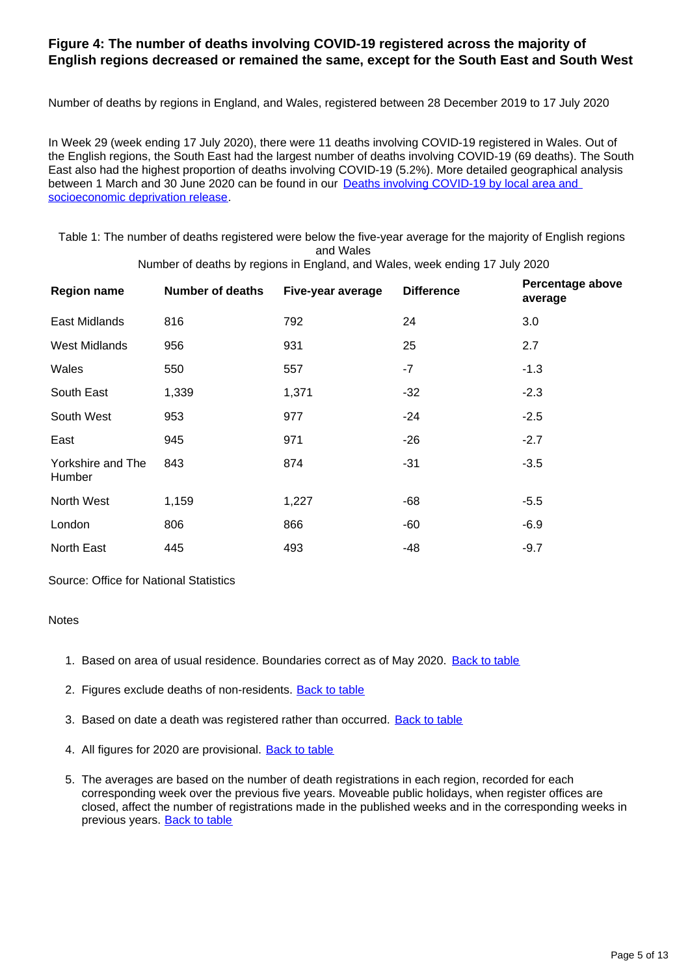### **Figure 4: The number of deaths involving COVID-19 registered across the majority of English regions decreased or remained the same, except for the South East and South West**

Number of deaths by regions in England, and Wales, registered between 28 December 2019 to 17 July 2020

In Week 29 (week ending 17 July 2020), there were 11 deaths involving COVID-19 registered in Wales. Out of the English regions, the South East had the largest number of deaths involving COVID-19 (69 deaths). The South East also had the highest proportion of deaths involving COVID-19 (5.2%). More detailed geographical analysis between 1 March and 30 June 2020 can be found in our **Deaths involving COVID-19 by local area and** [socioeconomic deprivation release.](https://www.ons.gov.uk/peoplepopulationandcommunity/birthsdeathsandmarriages/deaths/bulletins/deathsinvolvingcovid19bylocalareasanddeprivation/deathsoccurringbetween1marchand30june2020)

Table 1: The number of deaths registered were below the five-year average for the majority of English regions and Wales

| <b>Region name</b>          | <b>Number of deaths</b> | Five-year average | <b>Difference</b> | Percentage above<br>average |
|-----------------------------|-------------------------|-------------------|-------------------|-----------------------------|
| East Midlands               | 816                     | 792               | 24                | 3.0                         |
| <b>West Midlands</b>        | 956                     | 931               | 25                | 2.7                         |
| Wales                       | 550                     | 557               | -7                | $-1.3$                      |
| South East                  | 1,339                   | 1,371             | $-32$             | $-2.3$                      |
| South West                  | 953                     | 977               | $-24$             | $-2.5$                      |
| East                        | 945                     | 971               | $-26$             | $-2.7$                      |
| Yorkshire and The<br>Humber | 843                     | 874               | $-31$             | $-3.5$                      |
| North West                  | 1,159                   | 1,227             | -68               | $-5.5$                      |
| London                      | 806                     | 866               | $-60$             | $-6.9$                      |
| North East                  | 445                     | 493               | -48               | $-9.7$                      |

Number of deaths by regions in England, and Wales, week ending 17 July 2020

Source: Office for National Statistics

### **Notes**

- 1. Based on area of usual residence. Boundaries correct as of May 2020. [Back to table](#page-0-0)
- 2. Figures exclude deaths of non-residents. **[Back to table](#page-0-0)**
- 3. Based on date a death was registered rather than occurred. **[Back to table](#page-0-0)**
- 4. All figures for 2020 are provisional. **[Back to table](#page-0-0)**
- 5. The averages are based on the number of death registrations in each region, recorded for each corresponding week over the previous five years. Moveable public holidays, when register offices are closed, affect the number of registrations made in the published weeks and in the corresponding weeks in previous years. [Back to table](#page-0-0)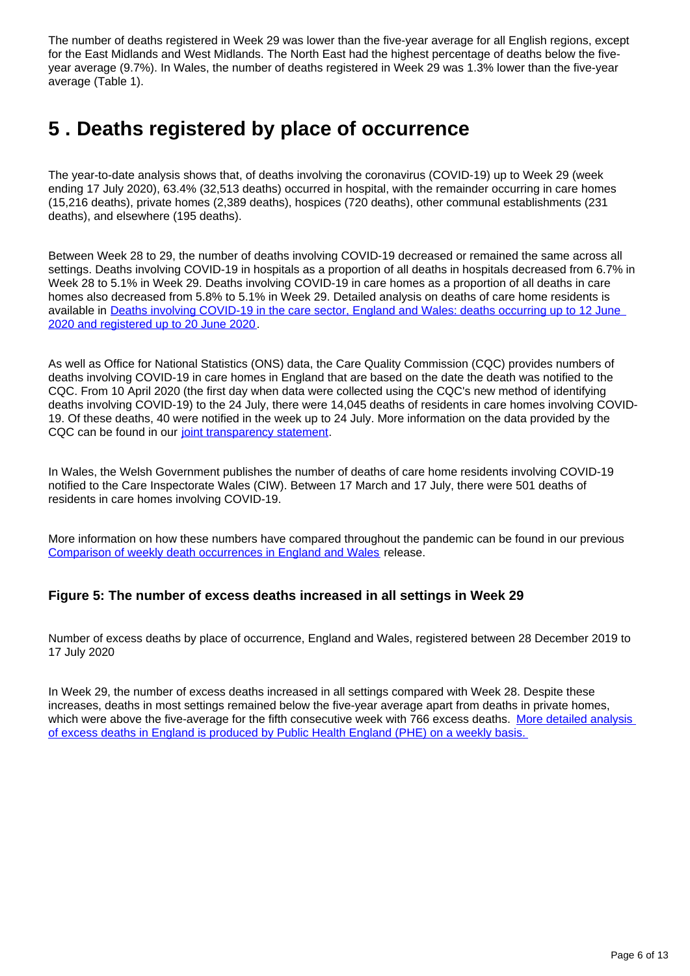The number of deaths registered in Week 29 was lower than the five-year average for all English regions, except for the East Midlands and West Midlands. The North East had the highest percentage of deaths below the fiveyear average (9.7%). In Wales, the number of deaths registered in Week 29 was 1.3% lower than the five-year average (Table 1).

# <span id="page-5-0"></span>**5 . Deaths registered by place of occurrence**

The year-to-date analysis shows that, of deaths involving the coronavirus (COVID-19) up to Week 29 (week ending 17 July 2020), 63.4% (32,513 deaths) occurred in hospital, with the remainder occurring in care homes (15,216 deaths), private homes (2,389 deaths), hospices (720 deaths), other communal establishments (231 deaths), and elsewhere (195 deaths).

Between Week 28 to 29, the number of deaths involving COVID-19 decreased or remained the same across all settings. Deaths involving COVID-19 in hospitals as a proportion of all deaths in hospitals decreased from 6.7% in Week 28 to 5.1% in Week 29. Deaths involving COVID-19 in care homes as a proportion of all deaths in care homes also decreased from 5.8% to 5.1% in Week 29. Detailed analysis on deaths of care home residents is available in Deaths involving COVID-19 in the care sector, England and Wales: deaths occurring up to 12 June [2020 and registered up to 20 June 2020.](https://www.ons.gov.uk/releases/deathsinvolvingcovid19inthecaresectorenglandandwalesdeathsoccurringupto12june2020andregisteredupto20june2020provisional)

As well as Office for National Statistics (ONS) data, the Care Quality Commission (CQC) provides numbers of deaths involving COVID-19 in care homes in England that are based on the date the death was notified to the CQC. From 10 April 2020 (the first day when data were collected using the CQC's new method of identifying deaths involving COVID-19) to the 24 July, there were 14,045 deaths of residents in care homes involving COVID-19. Of these deaths, 40 were notified in the week up to 24 July. More information on the data provided by the CQC can be found in our [joint transparency statement.](https://www.ons.gov.uk/news/statementsandletters/publicationofstatisticsondeathsinvolvingcovid19incarehomesinenglandtransparencystatement)

In Wales, the Welsh Government publishes the number of deaths of care home residents involving COVID-19 notified to the Care Inspectorate Wales (CIW). Between 17 March and 17 July, there were 501 deaths of residents in care homes involving COVID-19.

More information on how these numbers have compared throughout the pandemic can be found in our previous [Comparison of weekly death occurrences in England and Wales](https://www.ons.gov.uk/peoplepopulationandcommunity/healthandsocialcare/causesofdeath/articles/comparisonofweeklydeathoccurrencesinenglandandwales/latest) release.

## **Figure 5: The number of excess deaths increased in all settings in Week 29**

Number of excess deaths by place of occurrence, England and Wales, registered between 28 December 2019 to 17 July 2020

In Week 29, the number of excess deaths increased in all settings compared with Week 28. Despite these increases, deaths in most settings remained below the five-year average apart from deaths in private homes, which were above the five-average for the fifth consecutive week with 766 excess deaths. More detailed analysis [of excess deaths in England is produced by Public Health England \(PHE\) on a weekly basis.](https://www.gov.uk/government/publications/excess-mortality-in-england-weekly-reports)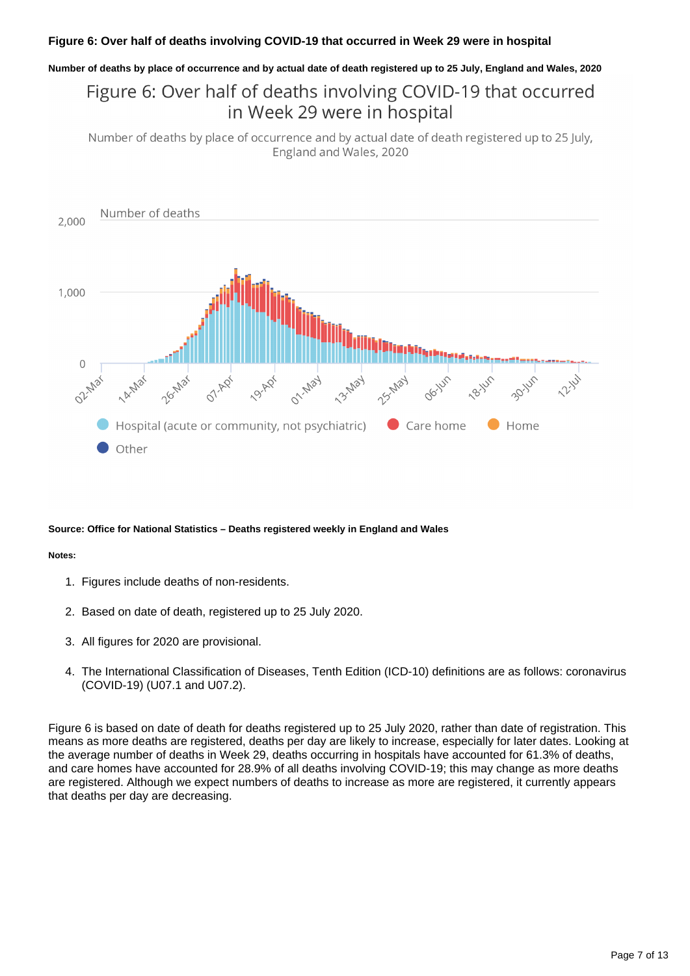### **Figure 6: Over half of deaths involving COVID-19 that occurred in Week 29 were in hospital**

#### **Number of deaths by place of occurrence and by actual date of death registered up to 25 July, England and Wales, 2020**

# Figure 6: Over half of deaths involving COVID-19 that occurred in Week 29 were in hospital

Number of deaths by place of occurrence and by actual date of death registered up to 25 July, England and Wales, 2020



#### **Source: Office for National Statistics – Deaths registered weekly in England and Wales**

#### **Notes:**

- 1. Figures include deaths of non-residents.
- 2. Based on date of death, registered up to 25 July 2020.
- 3. All figures for 2020 are provisional.
- 4. The International Classification of Diseases, Tenth Edition (ICD-10) definitions are as follows: coronavirus (COVID-19) (U07.1 and U07.2).

Figure 6 is based on date of death for deaths registered up to 25 July 2020, rather than date of registration. This means as more deaths are registered, deaths per day are likely to increase, especially for later dates. Looking at the average number of deaths in Week 29, deaths occurring in hospitals have accounted for 61.3% of deaths, and care homes have accounted for 28.9% of all deaths involving COVID-19; this may change as more deaths are registered. Although we expect numbers of deaths to increase as more are registered, it currently appears that deaths per day are decreasing.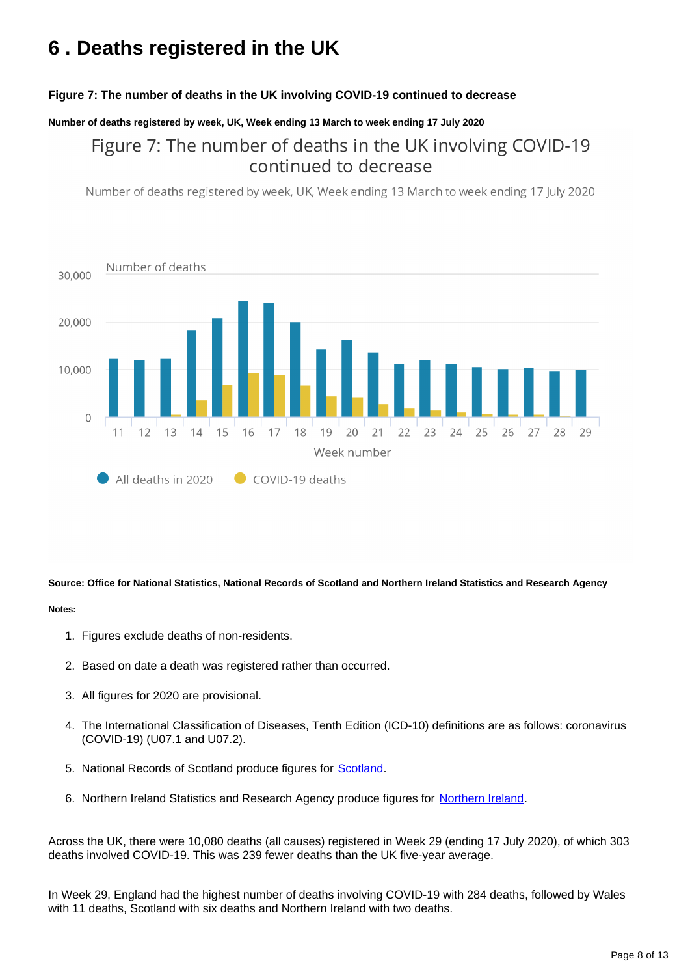# <span id="page-7-0"></span>**6 . Deaths registered in the UK**

### **Figure 7: The number of deaths in the UK involving COVID-19 continued to decrease**

### **Number of deaths registered by week, UK, Week ending 13 March to week ending 17 July 2020**

# Figure 7: The number of deaths in the UK involving COVID-19 continued to decrease

Number of deaths registered by week, UK, Week ending 13 March to week ending 17 July 2020



**Source: Office for National Statistics, National Records of Scotland and Northern Ireland Statistics and Research Agency**

#### **Notes:**

- 1. Figures exclude deaths of non-residents.
- 2. Based on date a death was registered rather than occurred.
- 3. All figures for 2020 are provisional.
- 4. The International Classification of Diseases, Tenth Edition (ICD-10) definitions are as follows: coronavirus (COVID-19) (U07.1 and U07.2).
- 5. National Records of Scotland produce figures for **Scotland**.
- 6. [Northern Ireland](https://www.nisra.gov.uk/publications/weekly-deaths) Statistics and Research Agency produce figures for Northern Ireland.

Across the UK, there were 10,080 deaths (all causes) registered in Week 29 (ending 17 July 2020), of which 303 deaths involved COVID-19. This was 239 fewer deaths than the UK five-year average.

In Week 29, England had the highest number of deaths involving COVID-19 with 284 deaths, followed by Wales with 11 deaths, Scotland with six deaths and Northern Ireland with two deaths.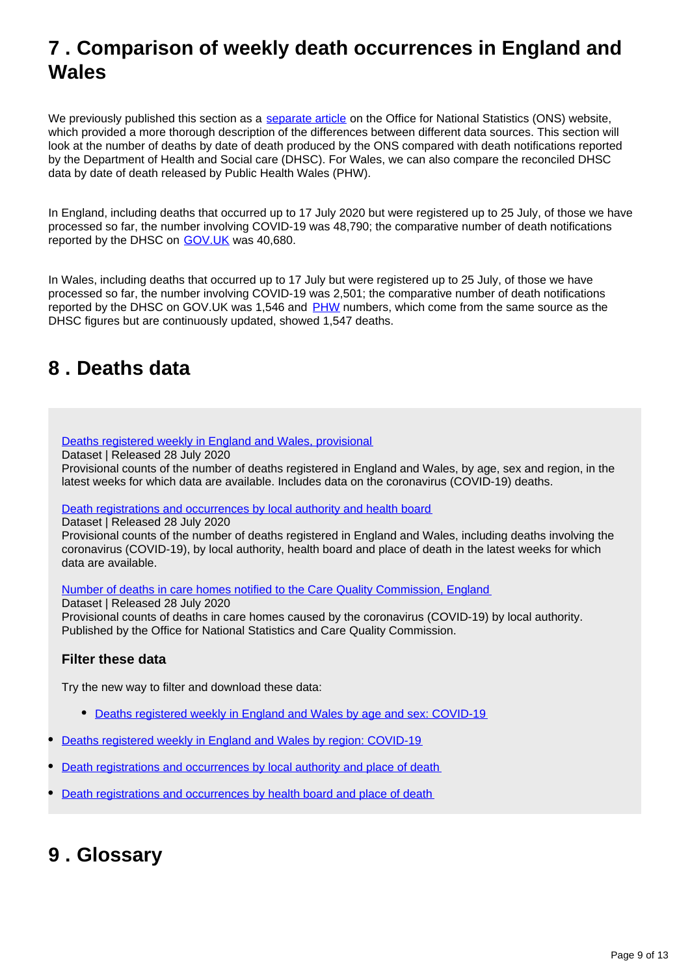# <span id="page-8-0"></span>**7 . Comparison of weekly death occurrences in England and Wales**

We previously published this section as a [separate article](https://www.ons.gov.uk/peoplepopulationandcommunity/healthandsocialcare/causesofdeath/articles/comparisonofweeklydeathoccurrencesinenglandandwales/previousReleases) on the Office for National Statistics (ONS) website, which provided a more thorough description of the differences between different data sources. This section will look at the number of deaths by date of death produced by the ONS compared with death notifications reported by the Department of Health and Social care (DHSC). For Wales, we can also compare the reconciled DHSC data by date of death released by Public Health Wales (PHW).

In England, including deaths that occurred up to 17 July 2020 but were registered up to 25 July, of those we have processed so far, the number involving COVID-19 was 48,790; the comparative number of death notifications reported by the DHSC on [GOV.UK](https://www.gov.uk/guidance/coronavirus-covid-19-information-for-the-public) was 40,680.

In Wales, including deaths that occurred up to 17 July but were registered up to 25 July, of those we have processed so far, the number involving COVID-19 was 2,501; the comparative number of death notifications reported by the DHSC on GOV.UK was 1,546 and [PHW](https://phw.nhs.wales/) numbers, which come from the same source as the DHSC figures but are continuously updated, showed 1,547 deaths.

# <span id="page-8-1"></span>**8 . Deaths data**

### [Deaths registered weekly in England and Wales, provisional](https://www.ons.gov.uk/peoplepopulationandcommunity/birthsdeathsandmarriages/deaths/datasets/weeklyprovisionalfiguresondeathsregisteredinenglandandwales)

Dataset | Released 28 July 2020

Provisional counts of the number of deaths registered in England and Wales, by age, sex and region, in the latest weeks for which data are available. Includes data on the coronavirus (COVID-19) deaths.

[Death registrations and occurrences by local authority and health board](https://www.ons.gov.uk/peoplepopulationandcommunity/healthandsocialcare/causesofdeath/datasets/deathregistrationsandoccurrencesbylocalauthorityandhealthboard)

Dataset | Released 28 July 2020

Provisional counts of the number of deaths registered in England and Wales, including deaths involving the coronavirus (COVID-19), by local authority, health board and place of death in the latest weeks for which data are available.

[Number of deaths in care homes notified to the Care Quality Commission, England](https://www.ons.gov.uk/peoplepopulationandcommunity/birthsdeathsandmarriages/deaths/datasets/numberofdeathsincarehomesnotifiedtothecarequalitycommissionengland)

Dataset | Released 28 July 2020

Provisional counts of deaths in care homes caused by the coronavirus (COVID-19) by local authority. Published by the Office for National Statistics and Care Quality Commission.

### **Filter these data**

Try the new way to filter and download these data:

- [Deaths registered weekly in England and Wales by age and sex: COVID-19](https://www.ons.gov.uk/datasets/weekly-deaths-age-sex?%3Auri=weekly-deaths-age-sex%2F)
- [Deaths registered weekly in England and Wales by region: COVID-19](https://www.ons.gov.uk/datasets/weekly-deaths-region/)
- [Death registrations and occurrences by local authority and place of death](https://www.ons.gov.uk/datasets/weekly-deaths-local-authority/)
- [Death registrations and occurrences by health board and place of death](https://www.ons.gov.uk/datasets/weekly-deaths-health-board/editions/time-series/versions/7)

# <span id="page-8-2"></span>**9 . Glossary**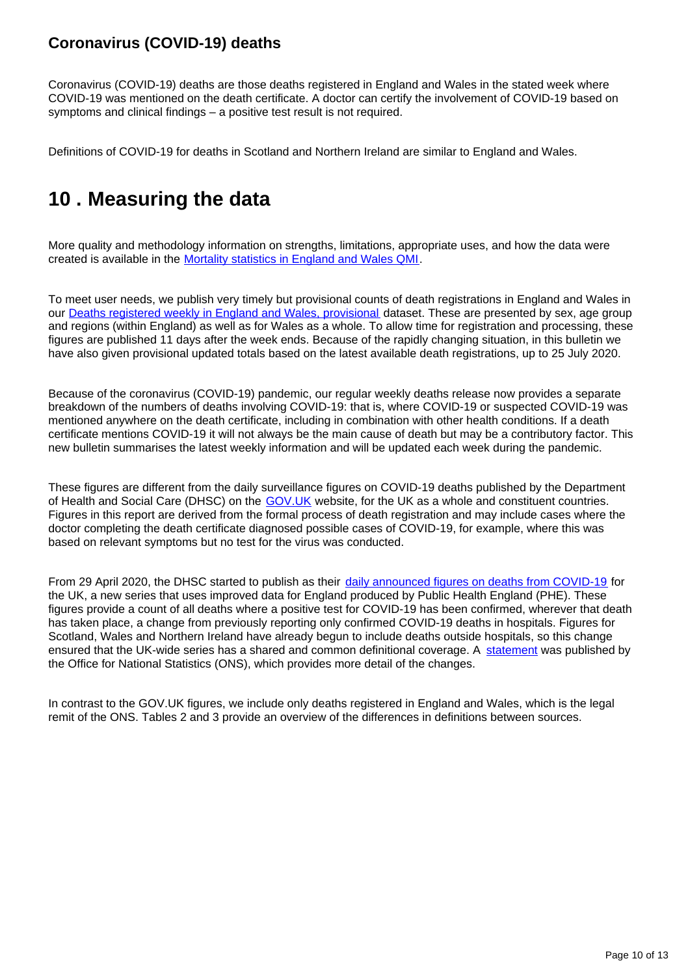# **Coronavirus (COVID-19) deaths**

Coronavirus (COVID-19) deaths are those deaths registered in England and Wales in the stated week where COVID-19 was mentioned on the death certificate. A doctor can certify the involvement of COVID-19 based on symptoms and clinical findings – a positive test result is not required.

Definitions of COVID-19 for deaths in Scotland and Northern Ireland are similar to England and Wales.

# <span id="page-9-0"></span>**10 . Measuring the data**

More quality and methodology information on strengths, limitations, appropriate uses, and how the data were created is available in the [Mortality statistics in England and Wales QMI.](https://www.ons.gov.uk/peoplepopulationandcommunity/birthsdeathsandmarriages/deaths/methodologies/mortalitystatisticsinenglandandwalesqmi)

To meet user needs, we publish very timely but provisional counts of death registrations in England and Wales in our [Deaths registered weekly in England and Wales, provisional](https://www.ons.gov.uk/peoplepopulationandcommunity/birthsdeathsandmarriages/deaths/datasets/weeklyprovisionalfiguresondeathsregisteredinenglandandwales) dataset. These are presented by sex, age group and regions (within England) as well as for Wales as a whole. To allow time for registration and processing, these figures are published 11 days after the week ends. Because of the rapidly changing situation, in this bulletin we have also given provisional updated totals based on the latest available death registrations, up to 25 July 2020.

Because of the coronavirus (COVID-19) pandemic, our regular weekly deaths release now provides a separate breakdown of the numbers of deaths involving COVID-19: that is, where COVID-19 or suspected COVID-19 was mentioned anywhere on the death certificate, including in combination with other health conditions. If a death certificate mentions COVID-19 it will not always be the main cause of death but may be a contributory factor. This new bulletin summarises the latest weekly information and will be updated each week during the pandemic.

These figures are different from the daily surveillance figures on COVID-19 deaths published by the Department of Health and Social Care (DHSC) on the GOV. UK website, for the UK as a whole and constituent countries. Figures in this report are derived from the formal process of death registration and may include cases where the doctor completing the death certificate diagnosed possible cases of COVID-19, for example, where this was based on relevant symptoms but no test for the virus was conducted.

From 29 April 2020, the DHSC started to publish as their [daily announced figures on deaths from COVID-19](https://www.gov.uk/guidance/coronavirus-covid-19-information-for-the-public) for the UK, a new series that uses improved data for England produced by Public Health England (PHE). These figures provide a count of all deaths where a positive test for COVID-19 has been confirmed, wherever that death has taken place, a change from previously reporting only confirmed COVID-19 deaths in hospitals. Figures for Scotland, Wales and Northern Ireland have already begun to include deaths outside hospitals, so this change ensured that the UK-wide series has a shared and common definitional coverage. A [statement](https://www.ons.gov.uk/news/statementsandletters/thedifferentusesoffiguresondeathsfromcovid19publishedbydhscandtheons) was published by the Office for National Statistics (ONS), which provides more detail of the changes.

In contrast to the GOV.UK figures, we include only deaths registered in England and Wales, which is the legal remit of the ONS. Tables 2 and 3 provide an overview of the differences in definitions between sources.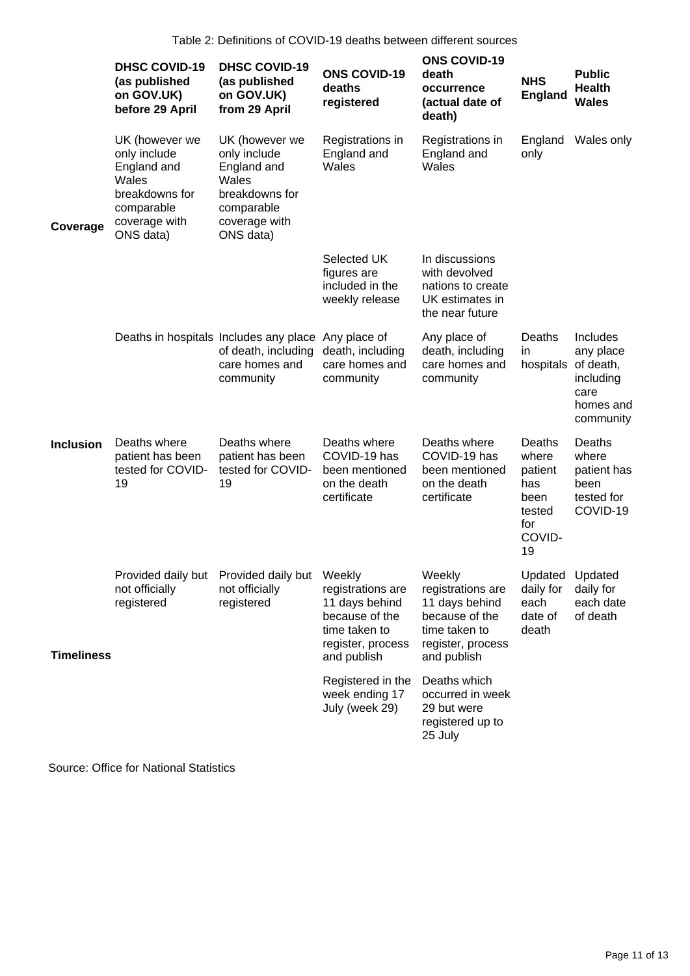|                   | <b>DHSC COVID-19</b><br>(as published<br>on GOV.UK)<br>before 29 April                                               | <b>DHSC COVID-19</b><br>(as published<br>on GOV.UK)<br>from 29 April                                                 | <b>ONS COVID-19</b><br>deaths<br>registered                                                                | <b>ONS COVID-19</b><br>death<br>occurrence<br>(actual date of<br>death)                                              | <b>NHS</b><br>England                                                      | <b>Public</b><br><b>Health</b><br><b>Wales</b>                       |
|-------------------|----------------------------------------------------------------------------------------------------------------------|----------------------------------------------------------------------------------------------------------------------|------------------------------------------------------------------------------------------------------------|----------------------------------------------------------------------------------------------------------------------|----------------------------------------------------------------------------|----------------------------------------------------------------------|
| Coverage          | UK (however we<br>only include<br>England and<br>Wales<br>breakdowns for<br>comparable<br>coverage with<br>ONS data) | UK (however we<br>only include<br>England and<br>Wales<br>breakdowns for<br>comparable<br>coverage with<br>ONS data) | Registrations in<br>England and<br>Wales                                                                   | Registrations in<br>England and<br>Wales                                                                             | England<br>only                                                            | Wales only                                                           |
|                   |                                                                                                                      |                                                                                                                      | Selected UK<br>figures are<br>included in the<br>weekly release                                            | In discussions<br>with devolved<br>nations to create<br>UK estimates in<br>the near future                           |                                                                            |                                                                      |
|                   | Deaths in hospitals Includes any place                                                                               | of death, including<br>care homes and<br>community                                                                   | Any place of<br>death, including<br>care homes and<br>community                                            | Any place of<br>death, including<br>care homes and<br>community                                                      | Deaths<br>in<br>hospitals of death,                                        | Includes<br>any place<br>including<br>care<br>homes and<br>community |
| <b>Inclusion</b>  | Deaths where<br>patient has been<br>tested for COVID-<br>19                                                          | Deaths where<br>patient has been<br>tested for COVID-<br>19                                                          | Deaths where<br>COVID-19 has<br>been mentioned<br>on the death<br>certificate                              | Deaths where<br>COVID-19 has<br>been mentioned<br>on the death<br>certificate                                        | Deaths<br>where<br>patient<br>has<br>been<br>tested<br>for<br>COVID-<br>19 | Deaths<br>where<br>patient has<br>been<br>tested for<br>COVID-19     |
| <b>Timeliness</b> | not officially<br>registered                                                                                         | Provided daily but Provided daily but Weekly<br>not officially<br>registered                                         | registrations are<br>11 days behind<br>because of the<br>time taken to<br>register, process<br>and publish | Weekly<br>registrations are<br>11 days behind<br>because of the<br>time taken to<br>register, process<br>and publish | Updated Updated<br>daily for<br>each<br>date of<br>death                   | daily for<br>each date<br>of death                                   |
|                   |                                                                                                                      |                                                                                                                      | Registered in the<br>week ending 17<br>July (week 29)                                                      | Deaths which<br>occurred in week<br>29 but were<br>registered up to<br>25 July                                       |                                                                            |                                                                      |

Source: Office for National Statistics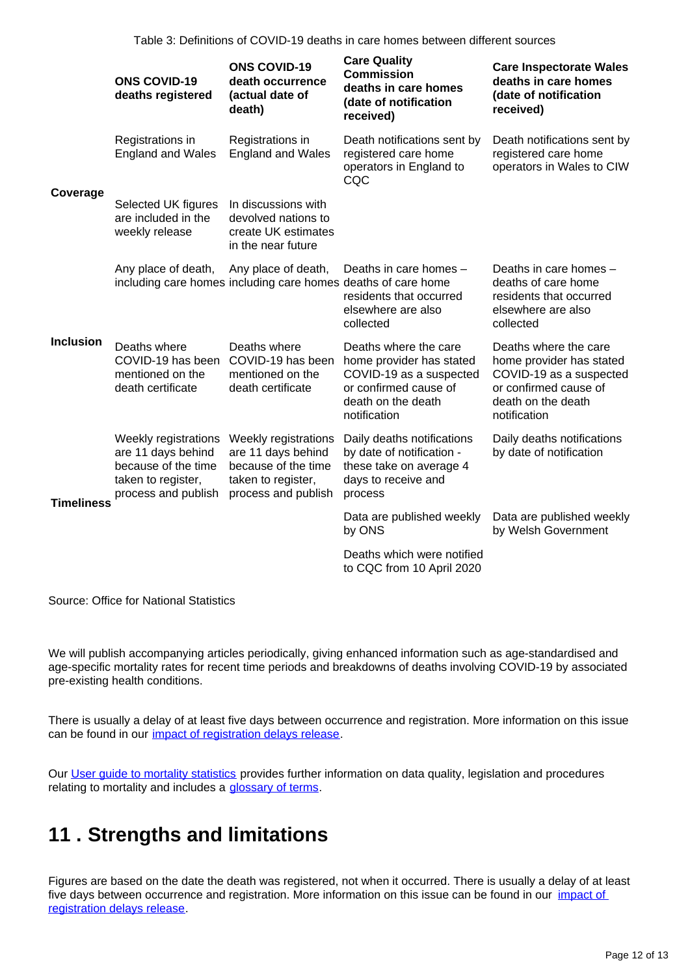Table 3: Definitions of COVID-19 deaths in care homes between different sources

|                   | <b>ONS COVID-19</b><br>deaths registered                                                                       | <b>ONS COVID-19</b><br>death occurrence<br>(actual date of<br>death)                                           | <b>Care Quality</b><br><b>Commission</b><br>deaths in care homes<br>(date of notification<br>received)                                      | <b>Care Inspectorate Wales</b><br>deaths in care homes<br>(date of notification<br>received)                                                |
|-------------------|----------------------------------------------------------------------------------------------------------------|----------------------------------------------------------------------------------------------------------------|---------------------------------------------------------------------------------------------------------------------------------------------|---------------------------------------------------------------------------------------------------------------------------------------------|
| Coverage          | Registrations in<br><b>England and Wales</b>                                                                   | Registrations in<br><b>England and Wales</b>                                                                   | Death notifications sent by<br>registered care home<br>operators in England to<br>CQC                                                       | Death notifications sent by<br>registered care home<br>operators in Wales to CIW                                                            |
|                   | Selected UK figures<br>are included in the<br>weekly release                                                   | In discussions with<br>devolved nations to<br>create UK estimates<br>in the near future                        |                                                                                                                                             |                                                                                                                                             |
|                   | Any place of death,                                                                                            | Any place of death,<br>including care homes including care homes deaths of care home                           | Deaths in care homes -<br>residents that occurred<br>elsewhere are also<br>collected                                                        | Deaths in care homes -<br>deaths of care home<br>residents that occurred<br>elsewhere are also<br>collected                                 |
| Inclusion         | Deaths where<br>COVID-19 has been<br>mentioned on the<br>death certificate                                     | Deaths where<br>COVID-19 has been<br>mentioned on the<br>death certificate                                     | Deaths where the care<br>home provider has stated<br>COVID-19 as a suspected<br>or confirmed cause of<br>death on the death<br>notification | Deaths where the care<br>home provider has stated<br>COVID-19 as a suspected<br>or confirmed cause of<br>death on the death<br>notification |
| <b>Timeliness</b> | Weekly registrations<br>are 11 days behind<br>because of the time<br>taken to register,<br>process and publish | Weekly registrations<br>are 11 days behind<br>because of the time<br>taken to register,<br>process and publish | Daily deaths notifications<br>by date of notification -<br>these take on average 4<br>days to receive and<br>process                        | Daily deaths notifications<br>by date of notification                                                                                       |
|                   |                                                                                                                |                                                                                                                | Data are published weekly<br>by ONS                                                                                                         | Data are published weekly<br>by Welsh Government                                                                                            |
|                   |                                                                                                                |                                                                                                                | Deaths which were notified<br>to CQC from 10 April 2020                                                                                     |                                                                                                                                             |

Source: Office for National Statistics

We will publish accompanying articles periodically, giving enhanced information such as age-standardised and age-specific mortality rates for recent time periods and breakdowns of deaths involving COVID-19 by associated pre-existing health conditions.

There is usually a delay of at least five days between occurrence and registration. More information on this issue can be found in our *impact of registration delays release*.

Our [User guide to mortality statistics](https://www.ons.gov.uk/peoplepopulationandcommunity/birthsdeathsandmarriages/deaths/methodologies/userguidetomortalitystatistics) provides further information on data quality, legislation and procedures relating to mortality and includes a [glossary of terms](https://www.ons.gov.uk/peoplepopulationandcommunity/birthsdeathsandmarriages/deaths/methodologies/userguidetomortalitystatisticsjuly2017#glossary).

# <span id="page-11-0"></span>**11 . Strengths and limitations**

Figures are based on the date the death was registered, not when it occurred. There is usually a delay of at least five days between occurrence and registration. More information on this issue can be found in our *impact of* [registration delays release.](https://www.ons.gov.uk/peoplepopulationandcommunity/birthsdeathsandmarriages/deaths/articles/impactofregistrationdelaysonmortalitystatisticsinenglandandwales/2018)